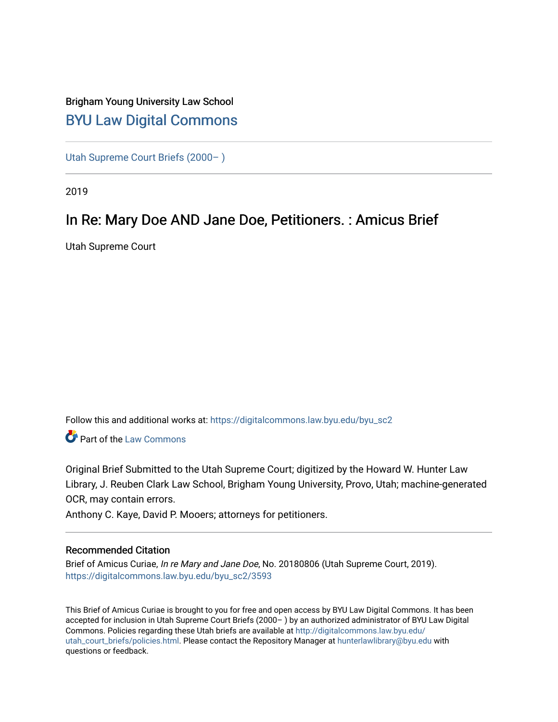# Brigham Young University Law School [BYU Law Digital Commons](https://digitalcommons.law.byu.edu/)

[Utah Supreme Court Briefs \(2000– \)](https://digitalcommons.law.byu.edu/byu_sc2)

2019

# In Re: Mary Doe AND Jane Doe, Petitioners. : Amicus Brief

Utah Supreme Court

Follow this and additional works at: [https://digitalcommons.law.byu.edu/byu\\_sc2](https://digitalcommons.law.byu.edu/byu_sc2?utm_source=digitalcommons.law.byu.edu%2Fbyu_sc2%2F3593&utm_medium=PDF&utm_campaign=PDFCoverPages) 

Part of the [Law Commons](https://network.bepress.com/hgg/discipline/578?utm_source=digitalcommons.law.byu.edu%2Fbyu_sc2%2F3593&utm_medium=PDF&utm_campaign=PDFCoverPages)

Original Brief Submitted to the Utah Supreme Court; digitized by the Howard W. Hunter Law Library, J. Reuben Clark Law School, Brigham Young University, Provo, Utah; machine-generated OCR, may contain errors.

Anthony C. Kaye, David P. Mooers; attorneys for petitioners.

#### Recommended Citation

Brief of Amicus Curiae, In re Mary and Jane Doe, No. 20180806 (Utah Supreme Court, 2019). [https://digitalcommons.law.byu.edu/byu\\_sc2/3593](https://digitalcommons.law.byu.edu/byu_sc2/3593?utm_source=digitalcommons.law.byu.edu%2Fbyu_sc2%2F3593&utm_medium=PDF&utm_campaign=PDFCoverPages)

This Brief of Amicus Curiae is brought to you for free and open access by BYU Law Digital Commons. It has been accepted for inclusion in Utah Supreme Court Briefs (2000– ) by an authorized administrator of BYU Law Digital Commons. Policies regarding these Utah briefs are available at [http://digitalcommons.law.byu.edu/](http://digitalcommons.law.byu.edu/utah_court_briefs/policies.html) [utah\\_court\\_briefs/policies.html.](http://digitalcommons.law.byu.edu/utah_court_briefs/policies.html) Please contact the Repository Manager at hunterlawlibrary@byu.edu with questions or feedback.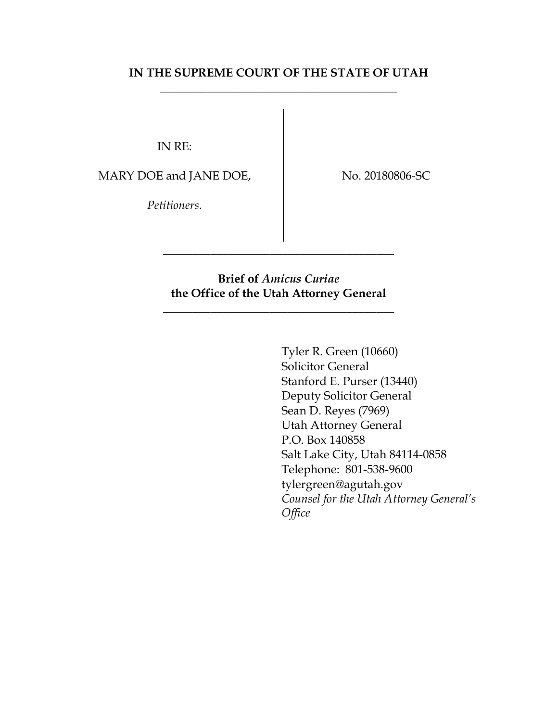### **IN THE SUPREME COURT OF THE STATE OF UTAH** \_\_\_\_\_\_\_\_\_\_\_\_\_\_\_\_\_\_\_\_\_\_\_\_\_\_\_\_\_\_\_\_\_\_\_\_\_\_\_\_

IN RE:

MARY DOE and JANE DOE,

No. 20180806-SC

*Petitioners*.

### **Brief of** *Amicus Curiae* **the Office of the Utah Attorney General**

\_\_\_\_\_\_\_\_\_\_\_\_\_\_\_\_\_\_\_\_\_\_\_\_\_\_\_\_\_\_\_\_\_\_\_\_\_\_\_

\_\_\_\_\_\_\_\_\_\_\_\_\_\_\_\_\_\_\_\_\_\_\_\_\_\_\_\_\_\_\_\_\_\_\_\_\_\_\_

Tyler R. Green (10660) Solicitor General Stanford E. Purser (13440) Deputy Solicitor General Sean D. Reyes (7969) Utah Attorney General P.O. Box 140858 Salt Lake City, Utah 84114-0858 Telephone: 801-538-9600 tylergreen@agutah.gov *Counsel for the Utah Attorney General's Office*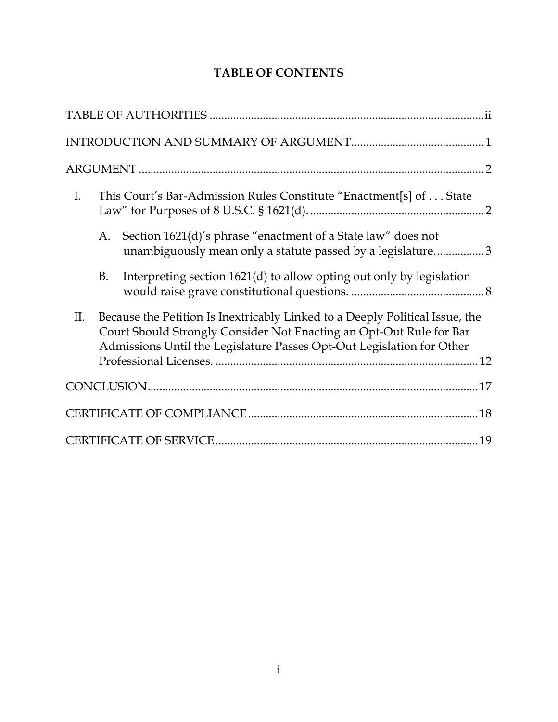# **TABLE OF CONTENTS**

| $I_{\cdot}$ |    | This Court's Bar-Admission Rules Constitute "Enactment[s] of State                                                                                                                                                           |
|-------------|----|------------------------------------------------------------------------------------------------------------------------------------------------------------------------------------------------------------------------------|
|             | A. | Section 1621(d)'s phrase "enactment of a State law" does not<br>unambiguously mean only a statute passed by a legislature3                                                                                                   |
|             | B. | Interpreting section 1621(d) to allow opting out only by legislation                                                                                                                                                         |
| П.          |    | Because the Petition Is Inextricably Linked to a Deeply Political Issue, the<br>Court Should Strongly Consider Not Enacting an Opt-Out Rule for Bar<br>Admissions Until the Legislature Passes Opt-Out Legislation for Other |
|             |    |                                                                                                                                                                                                                              |
|             |    |                                                                                                                                                                                                                              |
|             |    |                                                                                                                                                                                                                              |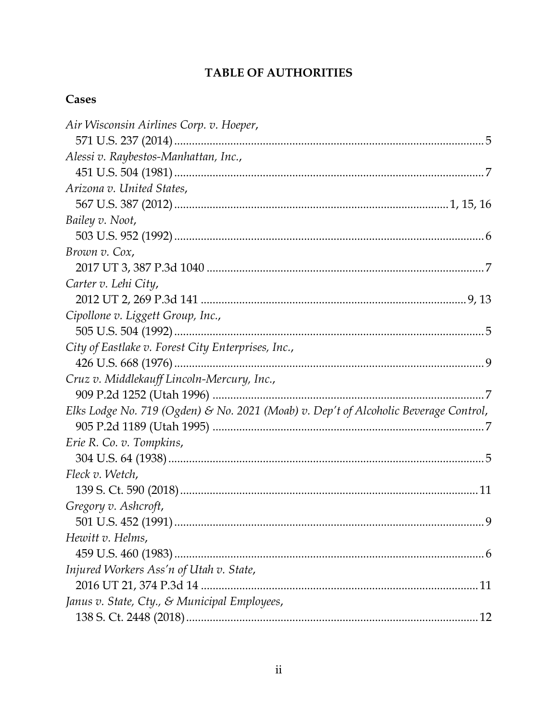## **TABLE OF AUTHORITIES**

## Cases

| Air Wisconsin Airlines Corp. v. Hoeper,                                              |     |
|--------------------------------------------------------------------------------------|-----|
|                                                                                      |     |
| Alessi v. Raybestos-Manhattan, Inc.,                                                 |     |
|                                                                                      |     |
| Arizona v. United States,                                                            |     |
|                                                                                      |     |
| Bailey v. Noot,                                                                      |     |
|                                                                                      |     |
| Brown v. Cox,                                                                        |     |
|                                                                                      |     |
| Carter v. Lehi City,                                                                 |     |
|                                                                                      |     |
| Cipollone v. Liggett Group, Inc.,                                                    |     |
|                                                                                      |     |
| City of Eastlake v. Forest City Enterprises, Inc.,                                   |     |
|                                                                                      |     |
| Cruz v. Middlekauff Lincoln-Mercury, Inc.,                                           |     |
|                                                                                      |     |
| Elks Lodge No. 719 (Ogden) & No. 2021 (Moab) v. Dep't of Alcoholic Beverage Control, |     |
|                                                                                      |     |
| Erie R. Co. v. Tompkins,                                                             |     |
|                                                                                      |     |
| Fleck v. Wetch,                                                                      |     |
|                                                                                      |     |
| Gregory v. Ashcroft,                                                                 |     |
|                                                                                      | . 9 |
| Hewitt v. Helms,                                                                     |     |
|                                                                                      |     |
| Injured Workers Ass'n of Utah v. State,                                              |     |
|                                                                                      |     |
| Janus v. State, Cty., & Municipal Employees,                                         |     |
|                                                                                      |     |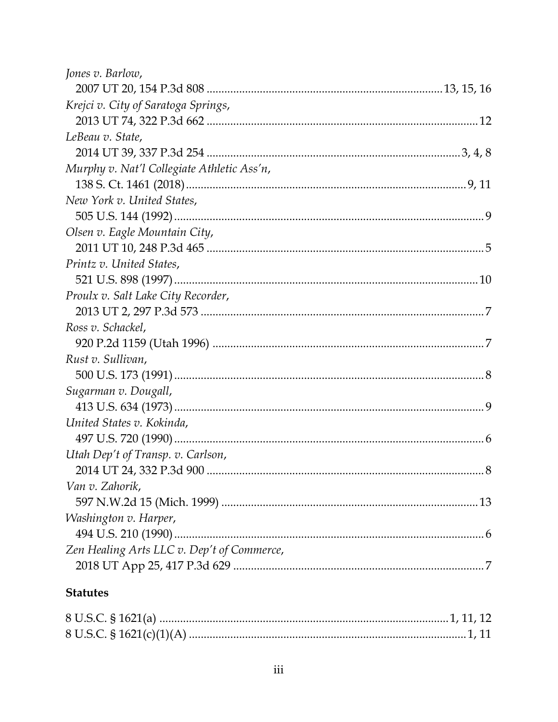| Jones v. Barlow,                           |  |
|--------------------------------------------|--|
|                                            |  |
| Krejci v. City of Saratoga Springs,        |  |
|                                            |  |
| LeBeau v. State,                           |  |
|                                            |  |
| Murphy v. Nat'l Collegiate Athletic Ass'n, |  |
|                                            |  |
| New York v. United States,                 |  |
|                                            |  |
| Olsen v. Eagle Mountain City,              |  |
|                                            |  |
| Printz v. United States,                   |  |
|                                            |  |
| Proulx v. Salt Lake City Recorder,         |  |
|                                            |  |
| Ross v. Schackel,                          |  |
|                                            |  |
| Rust v. Sullivan,                          |  |
|                                            |  |
| Sugarman v. Dougall,                       |  |
|                                            |  |
| United States v. Kokinda,                  |  |
|                                            |  |
| Utah Dep't of Transp. v. Carlson,          |  |
|                                            |  |
| Van v. Zahorik,                            |  |
|                                            |  |
| Washington v. Harper,                      |  |
|                                            |  |
| Zen Healing Arts LLC v. Dep't of Commerce, |  |
|                                            |  |
|                                            |  |

# **Statutes**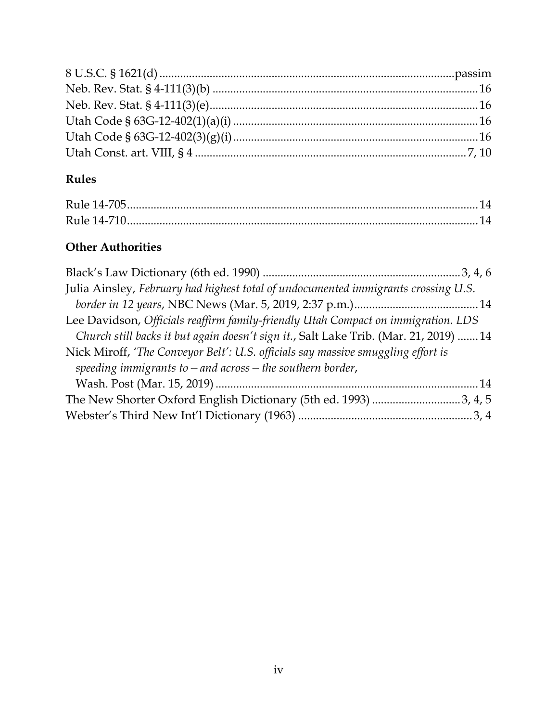# **Rules**

# **Other Authorities**

| Julia Ainsley, February had highest total of undocumented immigrants crossing U.S.    |  |
|---------------------------------------------------------------------------------------|--|
|                                                                                       |  |
| Lee Davidson, Officials reaffirm family-friendly Utah Compact on immigration. LDS     |  |
| Church still backs it but again doesn't sign it., Salt Lake Trib. (Mar. 21, 2019)  14 |  |
| Nick Miroff, 'The Conveyor Belt': U.S. officials say massive smuggling effort is      |  |
| speeding immigrants to $-$ and across $-$ the southern border,                        |  |
|                                                                                       |  |
| The New Shorter Oxford English Dictionary (5th ed. 1993) 3, 4, 5                      |  |
|                                                                                       |  |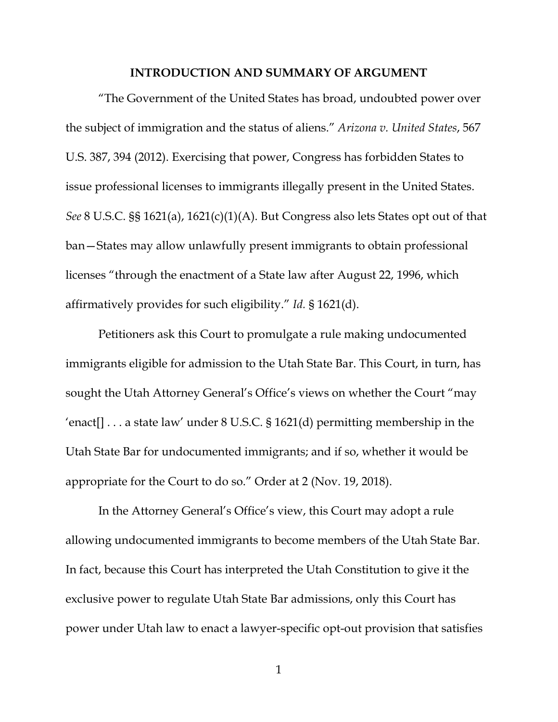#### **INTRODUCTION AND SUMMARY OF ARGUMENT**

"The Government of the United States has broad, undoubted power over the subject of immigration and the status of aliens." *Arizona v. United States*, 567 U.S. 387, 394 (2012). Exercising that power, Congress has forbidden States to issue professional licenses to immigrants illegally present in the United States. *See* 8 U.S.C. §§ 1621(a), 1621(c)(1)(A). But Congress also lets States opt out of that ban—States may allow unlawfully present immigrants to obtain professional licenses "through the enactment of a State law after August 22, 1996, which affirmatively provides for such eligibility." *Id.* § 1621(d).

Petitioners ask this Court to promulgate a rule making undocumented immigrants eligible for admission to the Utah State Bar. This Court, in turn, has sought the Utah Attorney General's Office's views on whether the Court "may 'enact[]  $\dots$  a state law' under 8 U.S.C. § 1621(d) permitting membership in the Utah State Bar for undocumented immigrants; and if so, whether it would be appropriate for the Court to do so." Order at 2 (Nov. 19, 2018).

In the Attorney General's Office's view, this Court may adopt a rule allowing undocumented immigrants to become members of the Utah State Bar. In fact, because this Court has interpreted the Utah Constitution to give it the exclusive power to regulate Utah State Bar admissions, only this Court has power under Utah law to enact a lawyer-specific opt-out provision that satisfies

1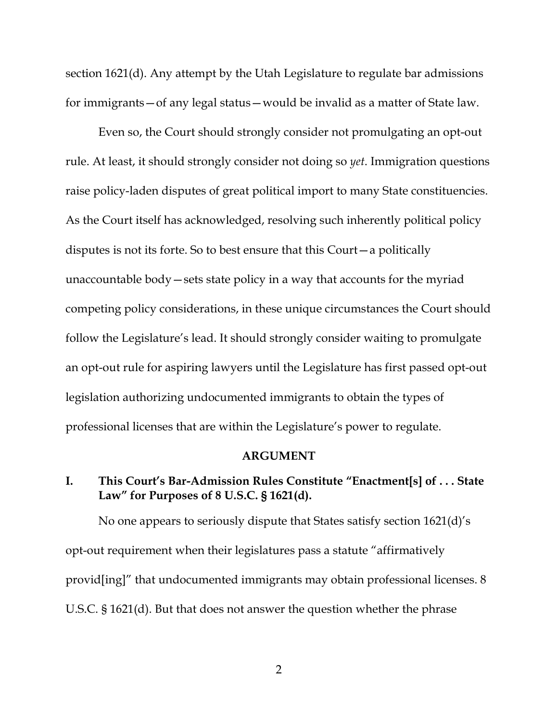section 1621(d). Any attempt by the Utah Legislature to regulate bar admissions for immigrants—of any legal status—would be invalid as a matter of State law.

Even so, the Court should strongly consider not promulgating an opt-out rule. At least, it should strongly consider not doing so *yet*. Immigration questions raise policy-laden disputes of great political import to many State constituencies. As the Court itself has acknowledged, resolving such inherently political policy disputes is not its forte. So to best ensure that this Court—a politically unaccountable body—sets state policy in a way that accounts for the myriad competing policy considerations, in these unique circumstances the Court should follow the Legislature's lead. It should strongly consider waiting to promulgate an opt-out rule for aspiring lawyers until the Legislature has first passed opt-out legislation authorizing undocumented immigrants to obtain the types of professional licenses that are within the Legislature's power to regulate.

#### **ARGUMENT**

### **I. This Court's Bar-Admission Rules Constitute "Enactment[s] of . . . State Law" for Purposes of 8 U.S.C. § 1621(d).**

No one appears to seriously dispute that States satisfy section 1621(d)'s opt-out requirement when their legislatures pass a statute "affirmatively provid[ing]" that undocumented immigrants may obtain professional licenses. 8 U.S.C. § 1621(d). But that does not answer the question whether the phrase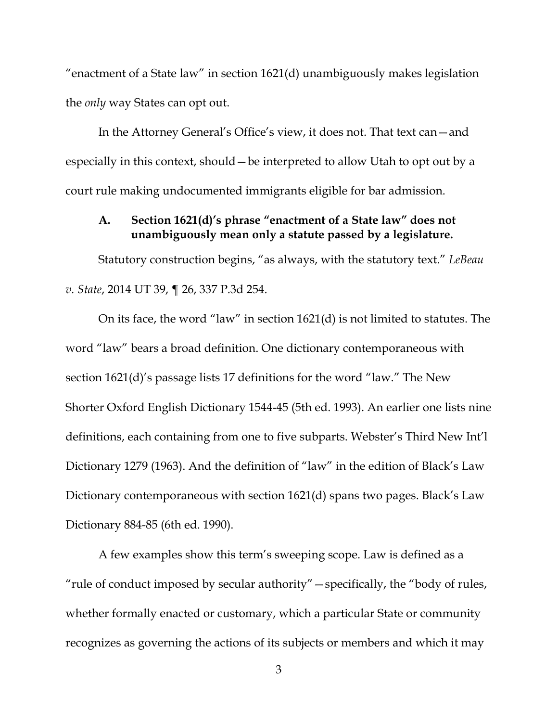"enactment of a State law" in section 1621(d) unambiguously makes legislation the *only* way States can opt out.

In the Attorney General's Office's view, it does not. That text can—and especially in this context, should—be interpreted to allow Utah to opt out by a court rule making undocumented immigrants eligible for bar admission.

#### **A. Section 1621(d)'s phrase "enactment of a State law" does not unambiguously mean only a statute passed by a legislature.**

Statutory construction begins, "as always, with the statutory text." *LeBeau v. State*, 2014 UT 39, ¶ 26, 337 P.3d 254.

On its face, the word "law" in section 1621(d) is not limited to statutes. The word "law" bears a broad definition. One dictionary contemporaneous with section 1621(d)'s passage lists 17 definitions for the word "law." The New Shorter Oxford English Dictionary 1544-45 (5th ed. 1993). An earlier one lists nine definitions, each containing from one to five subparts. Webster's Third New Int'l Dictionary 1279 (1963). And the definition of "law" in the edition of Black's Law Dictionary contemporaneous with section 1621(d) spans two pages. Black's Law Dictionary 884-85 (6th ed. 1990).

A few examples show this term's sweeping scope. Law is defined as a "rule of conduct imposed by secular authority"—specifically, the "body of rules, whether formally enacted or customary, which a particular State or community recognizes as governing the actions of its subjects or members and which it may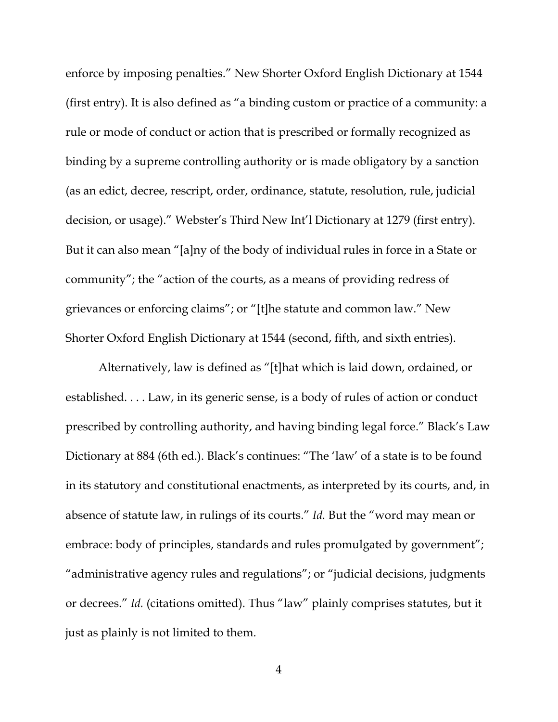enforce by imposing penalties." New Shorter Oxford English Dictionary at 1544 (first entry). It is also defined as "a binding custom or practice of a community: a rule or mode of conduct or action that is prescribed or formally recognized as binding by a supreme controlling authority or is made obligatory by a sanction (as an edict, decree, rescript, order, ordinance, statute, resolution, rule, judicial decision, or usage)." Webster's Third New Int'l Dictionary at 1279 (first entry). But it can also mean "[a]ny of the body of individual rules in force in a State or community"; the "action of the courts, as a means of providing redress of grievances or enforcing claims"; or "[t]he statute and common law." New Shorter Oxford English Dictionary at 1544 (second, fifth, and sixth entries).

Alternatively, law is defined as "[t]hat which is laid down, ordained, or established. . . . Law, in its generic sense, is a body of rules of action or conduct prescribed by controlling authority, and having binding legal force." Black's Law Dictionary at 884 (6th ed.). Black's continues: "The 'law' of a state is to be found in its statutory and constitutional enactments, as interpreted by its courts, and, in absence of statute law, in rulings of its courts." *Id.* But the "word may mean or embrace: body of principles, standards and rules promulgated by government"; "administrative agency rules and regulations"; or "judicial decisions, judgments or decrees." *Id.* (citations omitted). Thus "law" plainly comprises statutes, but it just as plainly is not limited to them.

4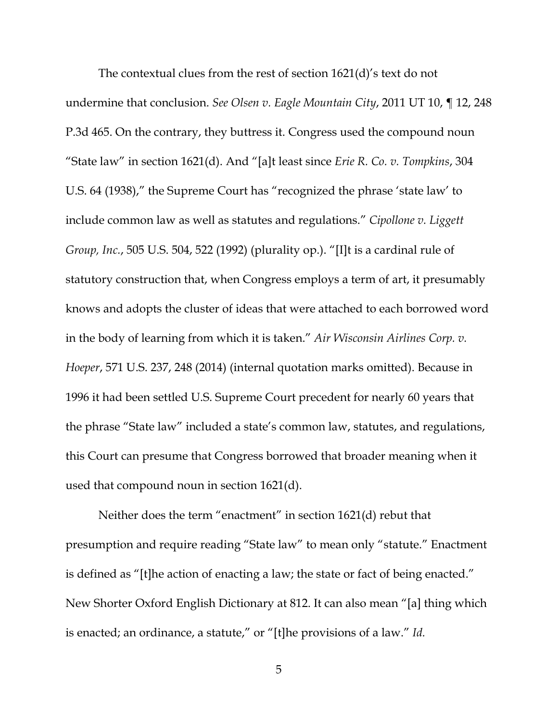The contextual clues from the rest of section 1621(d)'s text do not undermine that conclusion. *See Olsen v. Eagle Mountain City*, 2011 UT 10, ¶ 12, 248 P.3d 465. On the contrary, they buttress it. Congress used the compound noun "State law" in section 1621(d). And "[a]t least since *Erie R. Co. v. Tompkins*, 304 U.S. 64 (1938)," the Supreme Court has "recognized the phrase 'state law' to include common law as well as statutes and regulations." *Cipollone v. Liggett Group, Inc.*, 505 U.S. 504, 522 (1992) (plurality op.). "[I]t is a cardinal rule of statutory construction that, when Congress employs a term of art, it presumably knows and adopts the cluster of ideas that were attached to each borrowed word in the body of learning from which it is taken." *Air Wisconsin Airlines Corp. v. Hoeper*, 571 U.S. 237, 248 (2014) (internal quotation marks omitted). Because in 1996 it had been settled U.S. Supreme Court precedent for nearly 60 years that the phrase "State law" included a state's common law, statutes, and regulations, this Court can presume that Congress borrowed that broader meaning when it used that compound noun in section 1621(d).

Neither does the term "enactment" in section 1621(d) rebut that presumption and require reading "State law" to mean only "statute." Enactment is defined as "[t]he action of enacting a law; the state or fact of being enacted." New Shorter Oxford English Dictionary at 812. It can also mean "[a] thing which is enacted; an ordinance, a statute," or "[t]he provisions of a law." *Id.*

5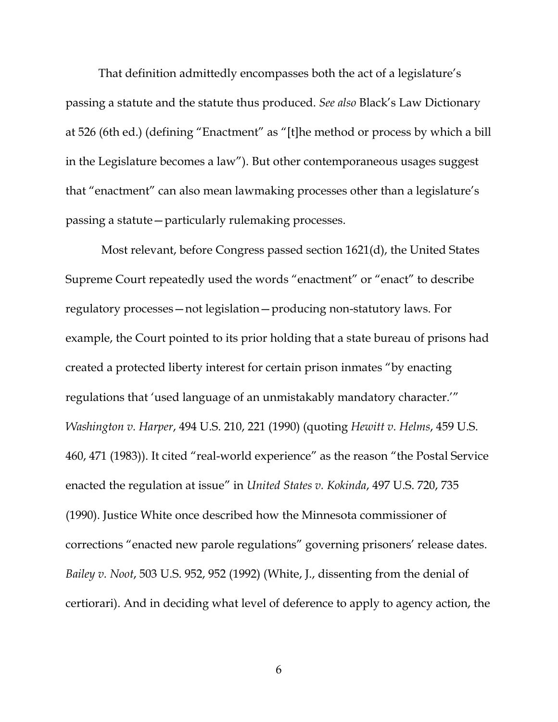That definition admittedly encompasses both the act of a legislature's passing a statute and the statute thus produced. *See also* Black's Law Dictionary at 526 (6th ed.) (defining "Enactment" as "[t]he method or process by which a bill in the Legislature becomes a law"). But other contemporaneous usages suggest that "enactment" can also mean lawmaking processes other than a legislature's passing a statute—particularly rulemaking processes.

Most relevant, before Congress passed section 1621(d), the United States Supreme Court repeatedly used the words "enactment" or "enact" to describe regulatory processes—not legislation—producing non-statutory laws. For example, the Court pointed to its prior holding that a state bureau of prisons had created a protected liberty interest for certain prison inmates "by enacting regulations that 'used language of an unmistakably mandatory character.'" *Washington v. Harper*, 494 U.S. 210, 221 (1990) (quoting *Hewitt v. Helms*, 459 U.S. 460, 471 (1983)). It cited "real-world experience" as the reason "the Postal Service enacted the regulation at issue" in *United States v. Kokinda*, 497 U.S. 720, 735 (1990). Justice White once described how the Minnesota commissioner of corrections "enacted new parole regulations" governing prisoners' release dates. *Bailey v. Noot*, 503 U.S. 952, 952 (1992) (White, J., dissenting from the denial of certiorari). And in deciding what level of deference to apply to agency action, the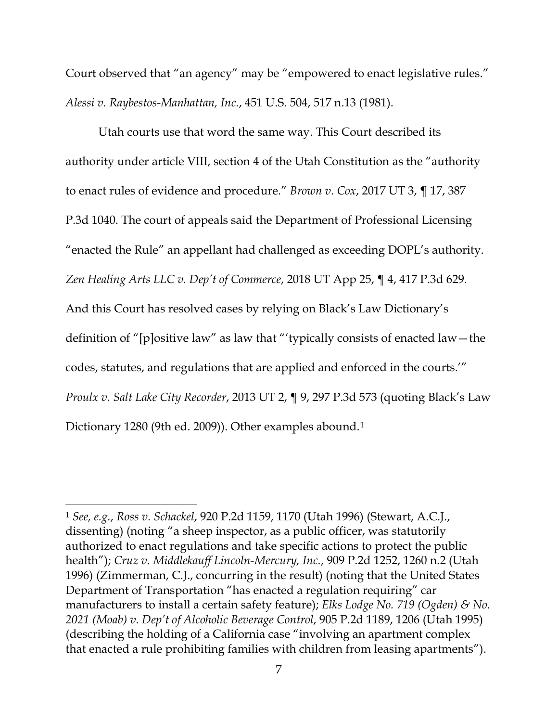Court observed that "an agency" may be "empowered to enact legislative rules." *Alessi v. Raybestos-Manhattan, Inc.*, 451 U.S. 504, 517 n.13 (1981).

Utah courts use that word the same way. This Court described its authority under article VIII, section 4 of the Utah Constitution as the "authority to enact rules of evidence and procedure." *Brown v. Cox*, 2017 UT 3, ¶ 17, 387 P.3d 1040. The court of appeals said the Department of Professional Licensing "enacted the Rule" an appellant had challenged as exceeding DOPL's authority. *Zen Healing Arts LLC v. Dep't of Commerce*, 2018 UT App 25, ¶ 4, 417 P.3d 629. And this Court has resolved cases by relying on Black's Law Dictionary's definition of "[p]ositive law" as law that "'typically consists of enacted law—the codes, statutes, and regulations that are applied and enforced in the courts.'" *Proulx v. Salt Lake City Recorder*, 2013 UT 2, ¶ 9, 297 P.3d 573 (quoting Black's Law Dictionary [1](#page-12-0)280 (9th ed. 2009)). Other examples abound.<sup>1</sup>

l

<span id="page-12-0"></span><sup>1</sup> *See, e.g.*, *Ross v. Schackel*, 920 P.2d 1159, 1170 (Utah 1996) (Stewart, A.C.J., dissenting) (noting "a sheep inspector, as a public officer, was statutorily authorized to enact regulations and take specific actions to protect the public health"); *Cruz v. Middlekauff Lincoln-Mercury, Inc.*, 909 P.2d 1252, 1260 n.2 (Utah 1996) (Zimmerman, C.J., concurring in the result) (noting that the United States Department of Transportation "has enacted a regulation requiring" car manufacturers to install a certain safety feature); *Elks Lodge No. 719 (Ogden) & No. 2021 (Moab) v. Dep't of Alcoholic Beverage Control*, 905 P.2d 1189, 1206 (Utah 1995) (describing the holding of a California case "involving an apartment complex that enacted a rule prohibiting families with children from leasing apartments").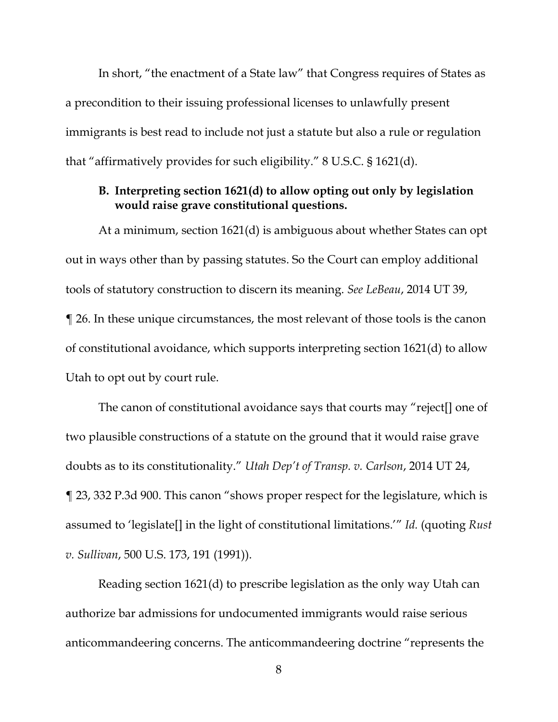In short, "the enactment of a State law" that Congress requires of States as a precondition to their issuing professional licenses to unlawfully present immigrants is best read to include not just a statute but also a rule or regulation that "affirmatively provides for such eligibility." 8 U.S.C. § 1621(d).

#### **B. Interpreting section 1621(d) to allow opting out only by legislation would raise grave constitutional questions.**

At a minimum, section 1621(d) is ambiguous about whether States can opt out in ways other than by passing statutes. So the Court can employ additional tools of statutory construction to discern its meaning. *See LeBeau*, 2014 UT 39, ¶ 26. In these unique circumstances, the most relevant of those tools is the canon of constitutional avoidance, which supports interpreting section 1621(d) to allow Utah to opt out by court rule.

The canon of constitutional avoidance says that courts may "reject[] one of two plausible constructions of a statute on the ground that it would raise grave doubts as to its constitutionality." *Utah Dep't of Transp. v. Carlson*, 2014 UT 24, ¶ 23, 332 P.3d 900. This canon "shows proper respect for the legislature, which is assumed to 'legislate[] in the light of constitutional limitations.'" *Id.* (quoting *Rust v. Sullivan*, 500 U.S. 173, 191 (1991)).

Reading section 1621(d) to prescribe legislation as the only way Utah can authorize bar admissions for undocumented immigrants would raise serious anticommandeering concerns. The anticommandeering doctrine "represents the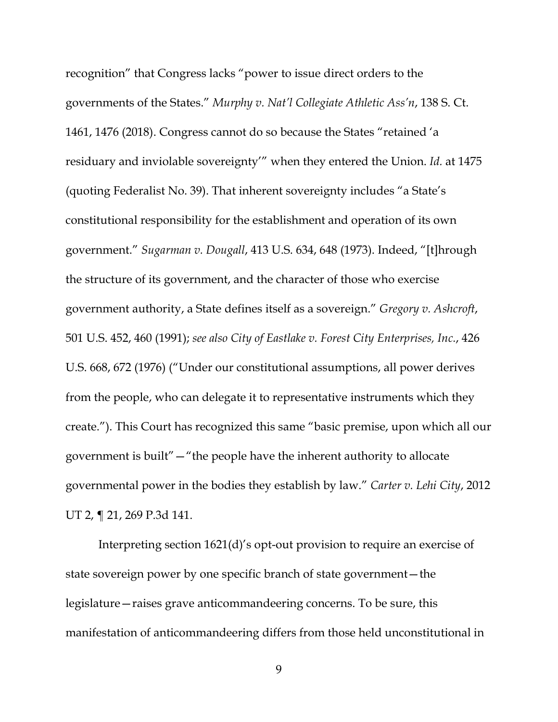recognition" that Congress lacks "power to issue direct orders to the governments of the States." *Murphy v. Nat'l Collegiate Athletic Ass'n*, 138 S. Ct. 1461, 1476 (2018). Congress cannot do so because the States "retained 'a residuary and inviolable sovereignty'" when they entered the Union. *Id.* at 1475 (quoting Federalist No. 39). That inherent sovereignty includes "a State's constitutional responsibility for the establishment and operation of its own government." *Sugarman v. Dougall*, 413 U.S. 634, 648 (1973). Indeed, "[t]hrough the structure of its government, and the character of those who exercise government authority, a State defines itself as a sovereign." *Gregory v. Ashcroft*, 501 U.S. 452, 460 (1991); *see also City of Eastlake v. Forest City Enterprises, Inc.*, 426 U.S. 668, 672 (1976) ("Under our constitutional assumptions, all power derives from the people, who can delegate it to representative instruments which they create."). This Court has recognized this same "basic premise, upon which all our government is built"—"the people have the inherent authority to allocate governmental power in the bodies they establish by law." *Carter v. Lehi City*, 2012 UT 2, ¶ 21, 269 P.3d 141.

Interpreting section 1621(d)'s opt-out provision to require an exercise of state sovereign power by one specific branch of state government—the legislature—raises grave anticommandeering concerns. To be sure, this manifestation of anticommandeering differs from those held unconstitutional in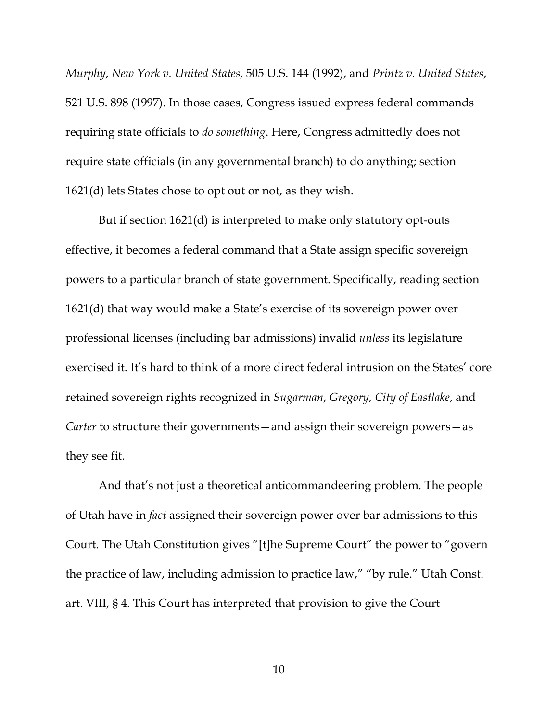*Murphy*, *New York v. United States*, 505 U.S. 144 (1992), and *Printz v. United States*, 521 U.S. 898 (1997). In those cases, Congress issued express federal commands requiring state officials to *do something*. Here, Congress admittedly does not require state officials (in any governmental branch) to do anything; section 1621(d) lets States chose to opt out or not, as they wish.

But if section 1621(d) is interpreted to make only statutory opt-outs effective, it becomes a federal command that a State assign specific sovereign powers to a particular branch of state government. Specifically, reading section 1621(d) that way would make a State's exercise of its sovereign power over professional licenses (including bar admissions) invalid *unless* its legislature exercised it. It's hard to think of a more direct federal intrusion on the States' core retained sovereign rights recognized in *Sugarman*, *Gregory*, *City of Eastlake*, and *Carter* to structure their governments—and assign their sovereign powers—as they see fit.

And that's not just a theoretical anticommandeering problem. The people of Utah have in *fact* assigned their sovereign power over bar admissions to this Court. The Utah Constitution gives "[t]he Supreme Court" the power to "govern the practice of law, including admission to practice law," "by rule." Utah Const. art. VIII, § 4. This Court has interpreted that provision to give the Court

10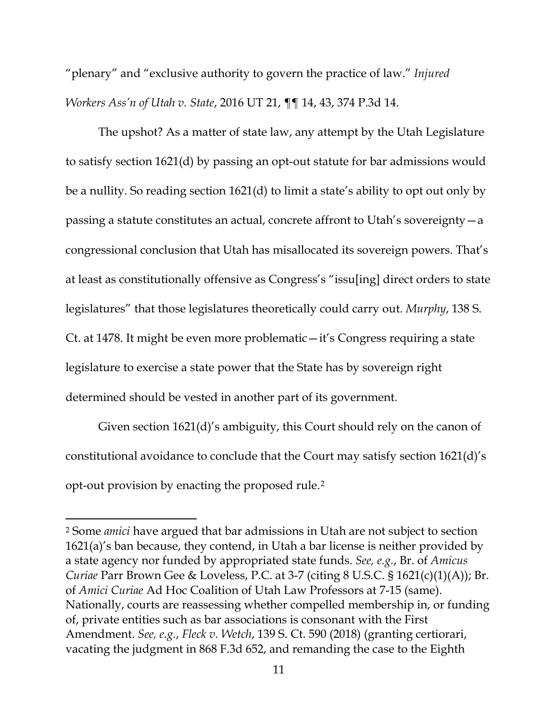"plenary" and "exclusive authority to govern the practice of law." *Injured Workers Ass'n of Utah v. State*, 2016 UT 21, ¶¶ 14, 43, 374 P.3d 14.

The upshot? As a matter of state law, any attempt by the Utah Legislature to satisfy section 1621(d) by passing an opt-out statute for bar admissions would be a nullity. So reading section 1621(d) to limit a state's ability to opt out only by passing a statute constitutes an actual, concrete affront to Utah's sovereignty—a congressional conclusion that Utah has misallocated its sovereign powers. That's at least as constitutionally offensive as Congress's "issu[ing] direct orders to state legislatures" that those legislatures theoretically could carry out. *Murphy*, 138 S. Ct. at 1478. It might be even more problematic—it's Congress requiring a state legislature to exercise a state power that the State has by sovereign right determined should be vested in another part of its government.

Given section 1621(d)'s ambiguity, this Court should rely on the canon of constitutional avoidance to conclude that the Court may satisfy section 1621(d)'s opt-out provision by enacting the proposed rule.[2](#page-16-0)

l

<span id="page-16-0"></span><sup>2</sup> Some *amici* have argued that bar admissions in Utah are not subject to section 1621(a)'s ban because, they contend, in Utah a bar license is neither provided by a state agency nor funded by appropriated state funds. *See, e.g.*, Br. of *Amicus Curiae* Parr Brown Gee & Loveless, P.C. at 3-7 (citing 8 U.S.C. § 1621(c)(1)(A)); Br. of *Amici Curiae* Ad Hoc Coalition of Utah Law Professors at 7-15 (same). Nationally, courts are reassessing whether compelled membership in, or funding of, private entities such as bar associations is consonant with the First Amendment. *See, e.g.*, *Fleck v. Wetch*, 139 S. Ct. 590 (2018) (granting certiorari, vacating the judgment in 868 F.3d 652, and remanding the case to the Eighth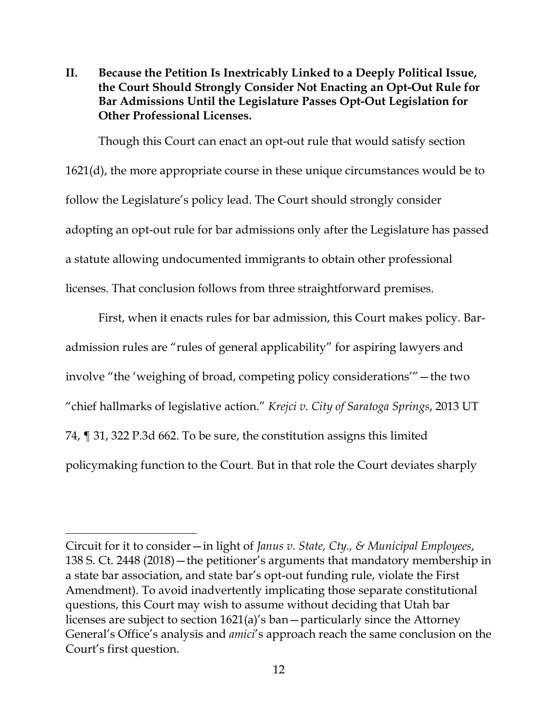**II. Because the Petition Is Inextricably Linked to a Deeply Political Issue, the Court Should Strongly Consider Not Enacting an Opt-Out Rule for Bar Admissions Until the Legislature Passes Opt-Out Legislation for Other Professional Licenses.**

Though this Court can enact an opt-out rule that would satisfy section 1621(d), the more appropriate course in these unique circumstances would be to follow the Legislature's policy lead. The Court should strongly consider adopting an opt-out rule for bar admissions only after the Legislature has passed a statute allowing undocumented immigrants to obtain other professional licenses. That conclusion follows from three straightforward premises.

First, when it enacts rules for bar admission, this Court makes policy. Baradmission rules are "rules of general applicability" for aspiring lawyers and involve "the 'weighing of broad, competing policy considerations'"—the two "chief hallmarks of legislative action." *Krejci v. City of Saratoga Springs*, 2013 UT 74, ¶ 31, 322 P.3d 662. To be sure, the constitution assigns this limited policymaking function to the Court. But in that role the Court deviates sharply

l

Circuit for it to consider—in light of *Janus v. State, Cty., & Municipal Employees*, 138 S. Ct. 2448 (2018)—the petitioner's arguments that mandatory membership in a state bar association, and state bar's opt-out funding rule, violate the First Amendment). To avoid inadvertently implicating those separate constitutional questions, this Court may wish to assume without deciding that Utah bar licenses are subject to section 1621(a)'s ban—particularly since the Attorney General's Office's analysis and *amici*'s approach reach the same conclusion on the Court's first question.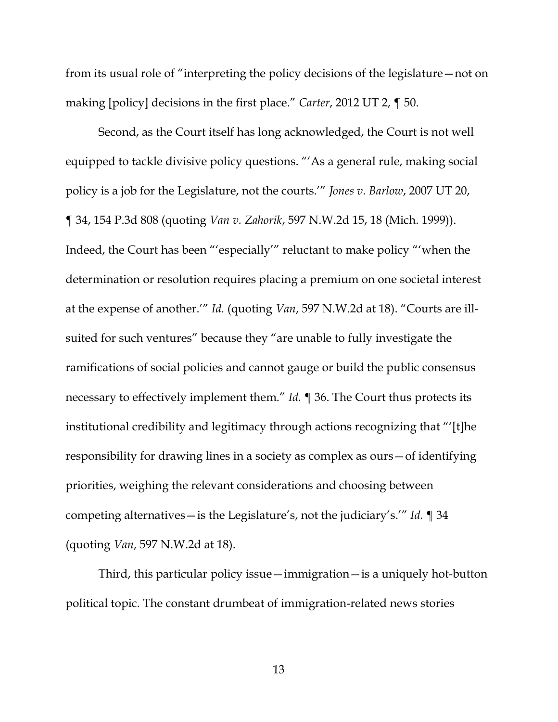from its usual role of "interpreting the policy decisions of the legislature—not on making [policy] decisions in the first place." *Carter*, 2012 UT 2, ¶ 50.

Second, as the Court itself has long acknowledged, the Court is not well equipped to tackle divisive policy questions. "'As a general rule, making social policy is a job for the Legislature, not the courts.'" *Jones v. Barlow*, 2007 UT 20, ¶ 34, 154 P.3d 808 (quoting *Van v. Zahorik*, 597 N.W.2d 15, 18 (Mich. 1999)). Indeed, the Court has been "'especially'" reluctant to make policy "'when the determination or resolution requires placing a premium on one societal interest at the expense of another.'" *Id.* (quoting *Van*, 597 N.W.2d at 18). "Courts are illsuited for such ventures" because they "are unable to fully investigate the ramifications of social policies and cannot gauge or build the public consensus necessary to effectively implement them." *Id.* ¶ 36. The Court thus protects its institutional credibility and legitimacy through actions recognizing that "'[t]he responsibility for drawing lines in a society as complex as ours—of identifying priorities, weighing the relevant considerations and choosing between competing alternatives—is the Legislature's, not the judiciary's.'" *Id.* ¶ 34 (quoting *Van*, 597 N.W.2d at 18).

Third, this particular policy issue—immigration—is a uniquely hot-button political topic. The constant drumbeat of immigration-related news stories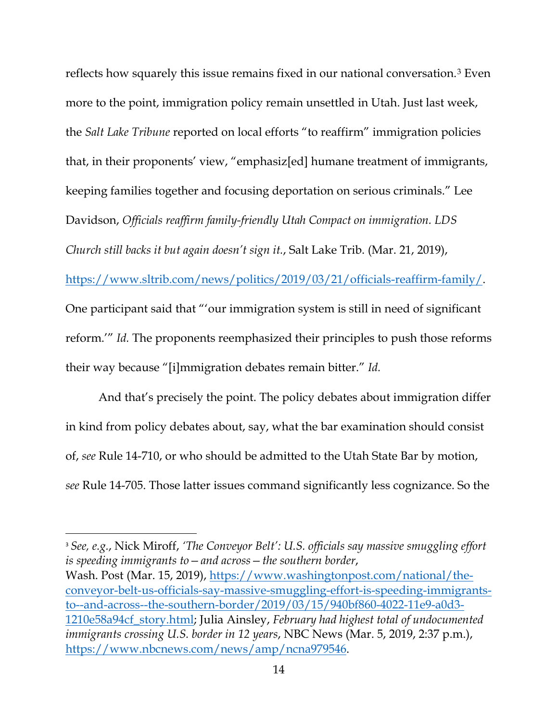reflects how squarely this issue remains fixed in our national conversation.[3](#page-19-0) Even more to the point, immigration policy remain unsettled in Utah. Just last week, the *Salt Lake Tribune* reported on local efforts "to reaffirm" immigration policies that, in their proponents' view, "emphasiz[ed] humane treatment of immigrants, keeping families together and focusing deportation on serious criminals." Lee Davidson, *Officials reaffirm family-friendly Utah Compact on immigration. LDS Church still backs it but again doesn't sign it.*, Salt Lake Trib. (Mar. 21, 2019), [https://www.sltrib.com/news/politics/2019/03/21/officials-reaffirm-family/.](https://www.sltrib.com/news/politics/2019/03/21/officials-reaffirm-family/) One participant said that "'our immigration system is still in need of significant reform.'" *Id.* The proponents reemphasized their principles to push those reforms their way because "[i]mmigration debates remain bitter." *Id.*

And that's precisely the point. The policy debates about immigration differ in kind from policy debates about, say, what the bar examination should consist of, *see* Rule 14-710, or who should be admitted to the Utah State Bar by motion, *see* Rule 14-705. Those latter issues command significantly less cognizance. So the

<span id="page-19-0"></span><sup>3</sup> *See, e.g.*, Nick Miroff, *'The Conveyor Belt': U.S. officials say massive smuggling effort is speeding immigrants to—and across—the southern border*, Wash. Post (Mar. 15, 2019), [https://www.washingtonpost.com/national/the](https://www.washingtonpost.com/national/the-conveyor-belt-us-officials-say-massive-smuggling-effort-is-speeding-immigrants-to--and-across--the-southern-border/2019/03/15/940bf860-4022-11e9-a0d3-1210e58a94cf_story.html)[conveyor-belt-us-officials-say-massive-smuggling-effort-is-speeding-immigrants](https://www.washingtonpost.com/national/the-conveyor-belt-us-officials-say-massive-smuggling-effort-is-speeding-immigrants-to--and-across--the-southern-border/2019/03/15/940bf860-4022-11e9-a0d3-1210e58a94cf_story.html)[to--and-across--the-southern-border/2019/03/15/940bf860-4022-11e9-a0d3-](https://www.washingtonpost.com/national/the-conveyor-belt-us-officials-say-massive-smuggling-effort-is-speeding-immigrants-to--and-across--the-southern-border/2019/03/15/940bf860-4022-11e9-a0d3-1210e58a94cf_story.html) [1210e58a94cf\\_story.html;](https://www.washingtonpost.com/national/the-conveyor-belt-us-officials-say-massive-smuggling-effort-is-speeding-immigrants-to--and-across--the-southern-border/2019/03/15/940bf860-4022-11e9-a0d3-1210e58a94cf_story.html) Julia Ainsley, *February had highest total of undocumented immigrants crossing U.S. border in 12 years*, NBC News (Mar. 5, 2019, 2:37 p.m.), [https://www.nbcnews.com/news/amp/ncna979546.](https://www.nbcnews.com/news/amp/ncna979546)

l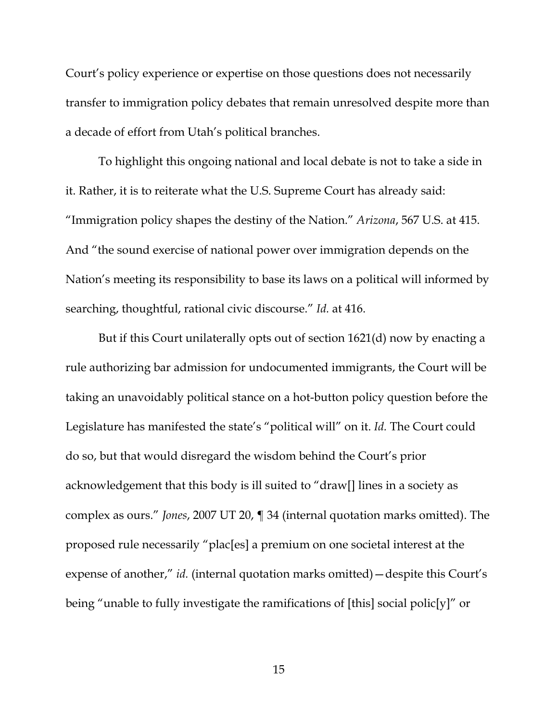Court's policy experience or expertise on those questions does not necessarily transfer to immigration policy debates that remain unresolved despite more than a decade of effort from Utah's political branches.

To highlight this ongoing national and local debate is not to take a side in it. Rather, it is to reiterate what the U.S. Supreme Court has already said: "Immigration policy shapes the destiny of the Nation." *Arizona*, 567 U.S. at 415. And "the sound exercise of national power over immigration depends on the Nation's meeting its responsibility to base its laws on a political will informed by searching, thoughtful, rational civic discourse." *Id.* at 416.

But if this Court unilaterally opts out of section 1621(d) now by enacting a rule authorizing bar admission for undocumented immigrants, the Court will be taking an unavoidably political stance on a hot-button policy question before the Legislature has manifested the state's "political will" on it. *Id.* The Court could do so, but that would disregard the wisdom behind the Court's prior acknowledgement that this body is ill suited to "draw[] lines in a society as complex as ours." *Jones*, 2007 UT 20, ¶ 34 (internal quotation marks omitted). The proposed rule necessarily "plac[es] a premium on one societal interest at the expense of another," *id.* (internal quotation marks omitted)—despite this Court's being "unable to fully investigate the ramifications of [this] social polic[y]" or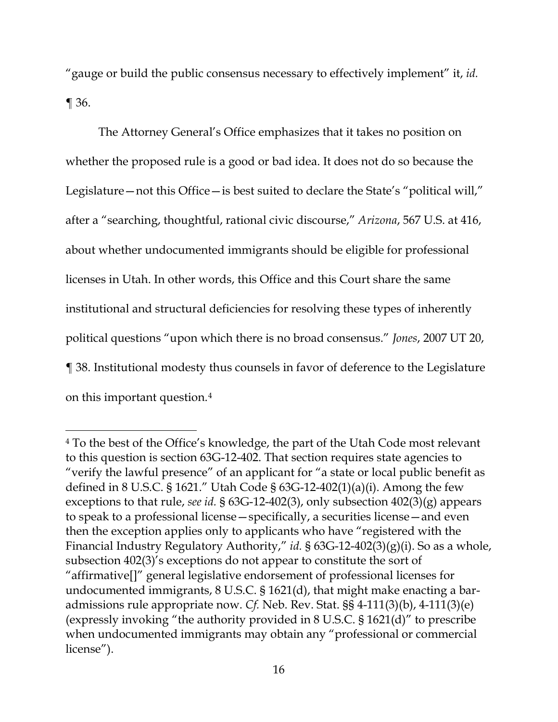"gauge or build the public consensus necessary to effectively implement" it, *id.* ¶ 36.

The Attorney General's Office emphasizes that it takes no position on whether the proposed rule is a good or bad idea. It does not do so because the Legislature—not this Office—is best suited to declare the State's "political will," after a "searching, thoughtful, rational civic discourse," *Arizona*, 567 U.S. at 416, about whether undocumented immigrants should be eligible for professional licenses in Utah. In other words, this Office and this Court share the same institutional and structural deficiencies for resolving these types of inherently political questions "upon which there is no broad consensus." *Jones*, 2007 UT 20, ¶ 38. Institutional modesty thus counsels in favor of deference to the Legislature on this important question.[4](#page-21-0)

 $\overline{a}$ 

<span id="page-21-0"></span><sup>4</sup> To the best of the Office's knowledge, the part of the Utah Code most relevant to this question is section 63G-12-402. That section requires state agencies to "verify the lawful presence" of an applicant for "a state or local public benefit as defined in 8 U.S.C. § 1621." Utah Code § 63G-12-402(1)(a)(i). Among the few exceptions to that rule, *see id.* § 63G-12-402(3), only subsection 402(3)(g) appears to speak to a professional license—specifically, a securities license—and even then the exception applies only to applicants who have "registered with the Financial Industry Regulatory Authority," *id.* § 63G-12-402(3)(g)(i). So as a whole, subsection 402(3)'s exceptions do not appear to constitute the sort of "affirmative[]" general legislative endorsement of professional licenses for undocumented immigrants, 8 U.S.C. § 1621(d), that might make enacting a baradmissions rule appropriate now. *Cf.* Neb. Rev. Stat. §§ 4-111(3)(b), 4-111(3)(e) (expressly invoking "the authority provided in 8 U.S.C. § 1621(d)" to prescribe when undocumented immigrants may obtain any "professional or commercial license").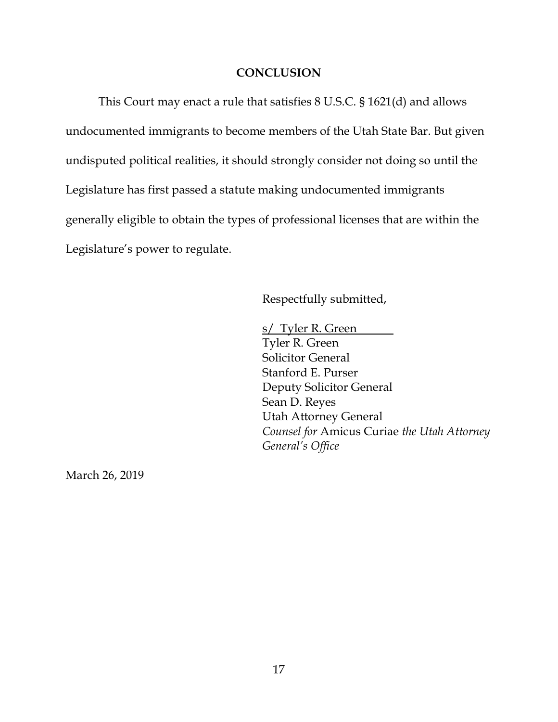#### **CONCLUSION**

This Court may enact a rule that satisfies 8 U.S.C. § 1621(d) and allows undocumented immigrants to become members of the Utah State Bar. But given undisputed political realities, it should strongly consider not doing so until the Legislature has first passed a statute making undocumented immigrants generally eligible to obtain the types of professional licenses that are within the Legislature's power to regulate.

Respectfully submitted,

s/ Tyler R. Green Tyler R. Green Solicitor General Stanford E. Purser Deputy Solicitor General Sean D. Reyes Utah Attorney General *Counsel for* Amicus Curiae *the Utah Attorney General's Office*

March 26, 2019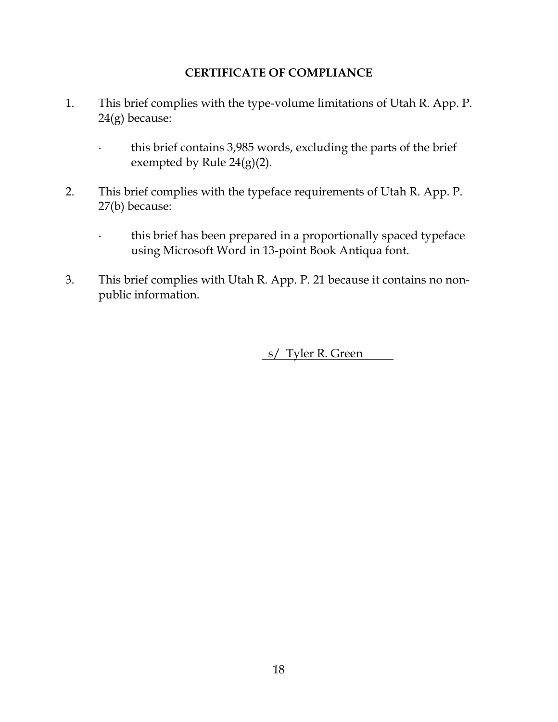### **CERTIFICATE OF COMPLIANCE**

- 1. This brief complies with the type-volume limitations of Utah R. App. P. 24(g) because:
	- ∙ this brief contains 3,985 words, excluding the parts of the brief exempted by Rule 24(g)(2).
- 2. This brief complies with the typeface requirements of Utah R. App. P. 27(b) because:
	- ∙ this brief has been prepared in a proportionally spaced typeface using Microsoft Word in 13-point Book Antiqua font.
- 3. This brief complies with Utah R. App. P. 21 because it contains no nonpublic information.

s/ Tyler R. Green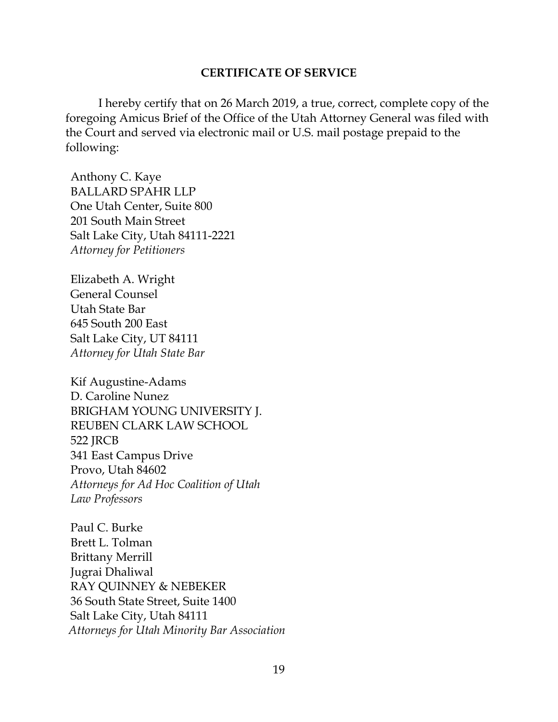#### **CERTIFICATE OF SERVICE**

I hereby certify that on 26 March 2019, a true, correct, complete copy of the foregoing Amicus Brief of the Office of the Utah Attorney General was filed with the Court and served via electronic mail or U.S. mail postage prepaid to the following:

Anthony C. Kaye BALLARD SPAHR LLP One Utah Center, Suite 800 201 South Main Street Salt Lake City, Utah 84111-2221 *Attorney for Petitioners*

Elizabeth A. Wright General Counsel Utah State Bar 645 South 200 East Salt Lake City, UT 84111 *Attorney for Utah State Bar*

Kif Augustine-Adams D. Caroline Nunez BRIGHAM YOUNG UNIVERSITY J. REUBEN CLARK LAW SCHOOL 522 JRCB 341 East Campus Drive Provo, Utah 84602 *Attorneys for Ad Hoc Coalition of Utah Law Professors*

Paul C. Burke Brett L. Tolman Brittany Merrill Jugrai Dhaliwal RAY QUINNEY & NEBEKER 36 South State Street, Suite 1400 Salt Lake City, Utah 84111 *Attorneys for Utah Minority Bar Association*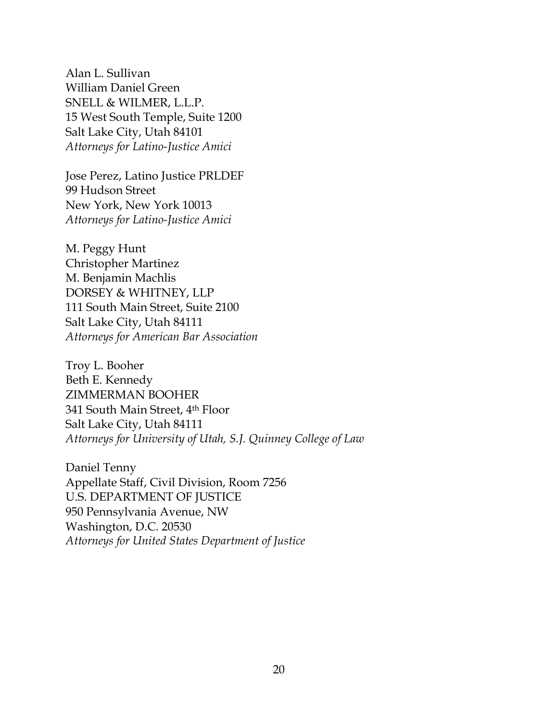Alan L. Sullivan William Daniel Green SNELL & WILMER, L.L.P. 15 West South Temple, Suite 1200 Salt Lake City, Utah 84101 *Attorneys for Latino-Justice Amici*

Jose Perez, Latino Justice PRLDEF 99 Hudson Street New York, New York 10013 *Attorneys for Latino-Justice Amici*

M. Peggy Hunt Christopher Martinez M. Benjamin Machlis DORSEY & WHITNEY, LLP 111 South Main Street, Suite 2100 Salt Lake City, Utah 84111 *Attorneys for American Bar Association*

Troy L. Booher Beth E. Kennedy ZIMMERMAN BOOHER 341 South Main Street, 4th Floor Salt Lake City, Utah 84111 *Attorneys for University of Utah, S.J. Quinney College of Law*

Daniel Tenny Appellate Staff, Civil Division, Room 7256 U.S. DEPARTMENT OF JUSTICE 950 Pennsylvania Avenue, NW Washington, D.C. 20530 *Attorneys for United States Department of Justice*